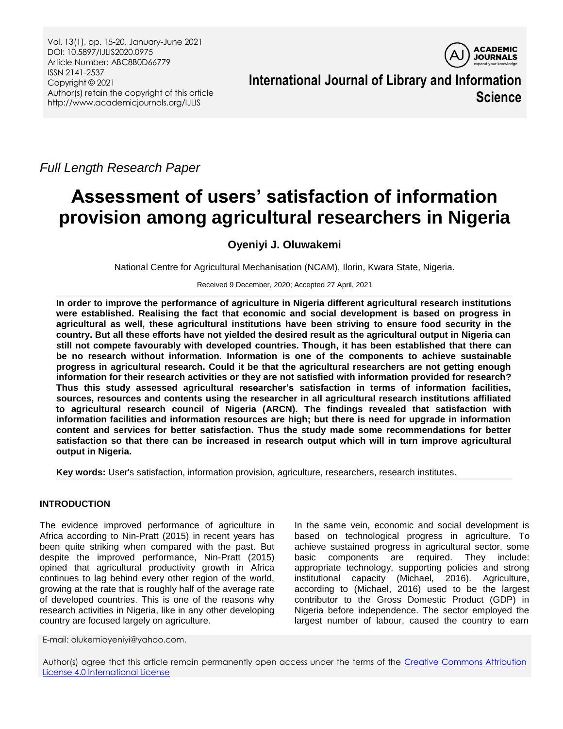Vol. 13(1), pp. 15-20, January-June 2021 DOI: 10.5897/IJLIS2020.0975 Article Number: ABC8B0D66779 ISSN 2141-2537 Copyright © 2021 Author(s) retain the copyright of this article http://www.academicjournals.org/IJLIS



**International Journal of Library and Information Science**

*Full Length Research Paper*

# **Assessment of users' satisfaction of information provision among agricultural researchers in Nigeria**

# **Oyeniyi J. Oluwakemi**

National Centre for Agricultural Mechanisation (NCAM), Ilorin, Kwara State, Nigeria.

Received 9 December, 2020; Accepted 27 April, 2021

**In order to improve the performance of agriculture in Nigeria different agricultural research institutions were established. Realising the fact that economic and social development is based on progress in agricultural as well, these agricultural institutions have been striving to ensure food security in the country. But all these efforts have not yielded the desired result as the agricultural output in Nigeria can still not compete favourably with developed countries. Though, it has been established that there can be no research without information. Information is one of the components to achieve sustainable progress in agricultural research. Could it be that the agricultural researchers are not getting enough information for their research activities or they are not satisfied with information provided for research? Thus this study assessed agricultural researcher's satisfaction in terms of information facilities, sources, resources and contents using the researcher in all agricultural research institutions affiliated to agricultural research council of Nigeria (ARCN). The findings revealed that satisfaction with information facilities and information resources are high; but there is need for upgrade in information content and services for better satisfaction. Thus the study made some recommendations for better satisfaction so that there can be increased in research output which will in turn improve agricultural output in Nigeria.**

**Key words:** User's satisfaction, information provision, agriculture, researchers, research institutes.

# **INTRODUCTION**

The evidence improved performance of agriculture in Africa according to Nin-Pratt (2015) in recent years has been quite striking when compared with the past. But despite the improved performance, Nin-Pratt (2015) opined that agricultural productivity growth in Africa continues to lag behind every other region of the world, growing at the rate that is roughly half of the average rate of developed countries. This is one of the reasons why research activities in Nigeria, like in any other developing country are focused largely on agriculture.

In the same vein, economic and social development is based on technological progress in agriculture. To achieve sustained progress in agricultural sector, some basic components are required. They include: appropriate technology, supporting policies and strong institutional capacity (Michael, 2016). Agriculture, according to (Michael, 2016) used to be the largest contributor to the Gross Domestic Product (GDP) in Nigeria before independence. The sector employed the largest number of labour, caused the country to earn

E-mail: olukemioyeniyi@yahoo.com.

Author(s) agree that this article remain permanently open access under the terms of the Creative Commons Attribution [License 4.0 International License](http://creativecommons.org/licenses/by/4.0/deed.en_US)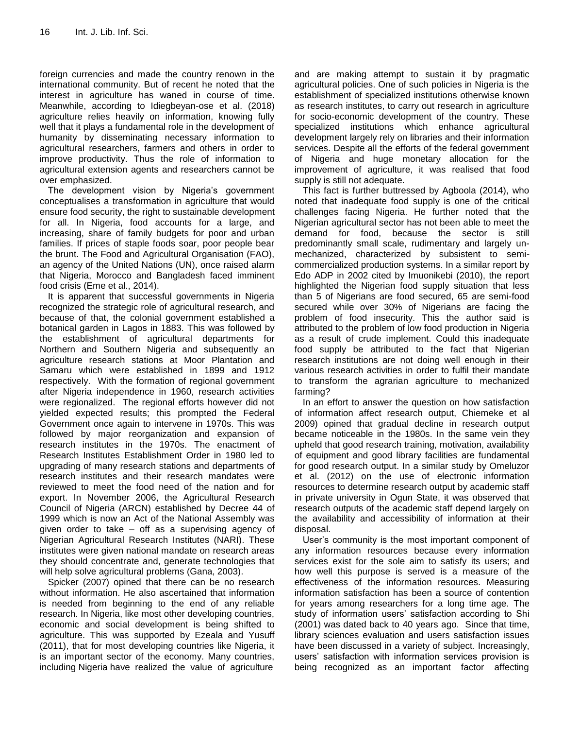foreign currencies and made the country renown in the international community. But of recent he noted that the interest in agriculture has waned in course of time. Meanwhile, according to Idiegbeyan-ose et al. (2018) agriculture relies heavily on information, knowing fully well that it plays a fundamental role in the development of humanity by disseminating necessary information to agricultural researchers, farmers and others in order to improve productivity. Thus the role of information to agricultural extension agents and researchers cannot be over emphasized.

The development vision by Nigeria's government conceptualises a transformation in agriculture that would ensure food security, the right to sustainable development for all. In Nigeria, food accounts for a large, and increasing, share of family budgets for poor and urban families. If prices of staple foods soar, poor people bear the brunt. The Food and Agricultural Organisation (FAO), an agency of the United Nations (UN), once raised alarm that Nigeria, Morocco and Bangladesh faced imminent food crisis (Eme et al., 2014).

It is apparent that successful governments in Nigeria recognized the strategic role of agricultural research, and because of that, the colonial government established a botanical garden in Lagos in 1883. This was followed by the establishment of agricultural departments for Northern and Southern Nigeria and subsequently an agriculture research stations at Moor Plantation and Samaru which were established in 1899 and 1912 respectively. With the formation of regional government after Nigeria independence in 1960, research activities were regionalized. The regional efforts however did not yielded expected results; this prompted the Federal Government once again to intervene in 1970s. This was followed by major reorganization and expansion of research institutes in the 1970s. The enactment of Research Institutes Establishment Order in 1980 led to upgrading of many research stations and departments of research institutes and their research mandates were reviewed to meet the food need of the nation and for export. In November 2006, the Agricultural Research Council of Nigeria (ARCN) established by Decree 44 of 1999 which is now an Act of the National Assembly was given order to take – off as a supervising agency of Nigerian Agricultural Research Institutes (NARI). These institutes were given national mandate on research areas they should concentrate and, generate technologies that will help solve agricultural problems (Gana, 2003).

Spicker (2007) opined that there can be no research without information. He also ascertained that information is needed from beginning to the end of any reliable research. In Nigeria, like most other developing countries, economic and social development is being shifted to agriculture. This was supported by Ezeala and Yusuff (2011), that for most developing countries like Nigeria, it is an important sector of the economy. Many countries, including Nigeria have realized the value of agriculture

and are making attempt to sustain it by pragmatic agricultural policies. One of such policies in Nigeria is the establishment of specialized institutions otherwise known as research institutes, to carry out research in agriculture for socio-economic development of the country. These specialized institutions which enhance agricultural development largely rely on libraries and their information services. Despite all the efforts of the federal government of Nigeria and huge monetary allocation for the improvement of agriculture, it was realised that food supply is still not adequate.

This fact is further buttressed by Agboola (2014), who noted that inadequate food supply is one of the critical challenges facing Nigeria. He further noted that the Nigerian agricultural sector has not been able to meet the demand for food, because the sector is still predominantly small scale, rudimentary and largely unmechanized, characterized by subsistent to semicommercialized production systems. In a similar report by Edo ADP in 2002 cited by Imuonikebi (2010), the report highlighted the Nigerian food supply situation that less than 5 of Nigerians are food secured, 65 are semi-food secured while over 30% of Nigerians are facing the problem of food insecurity. This the author said is attributed to the problem of low food production in Nigeria as a result of crude implement. Could this inadequate food supply be attributed to the fact that Nigerian research institutions are not doing well enough in their various research activities in order to fulfil their mandate to transform the agrarian agriculture to mechanized farming?

In an effort to answer the question on how satisfaction of information affect research output, Chiemeke et al 2009) opined that gradual decline in research output became noticeable in the 1980s. In the same vein they upheld that good research training, motivation, availability of equipment and good library facilities are fundamental for good research output. In a similar study by Omeluzor et al. (2012) on the use of electronic information resources to determine research output by academic staff in private university in Ogun State, it was observed that research outputs of the academic staff depend largely on the availability and accessibility of information at their disposal.

User's community is the most important component of any information resources because every information services exist for the sole aim to satisfy its users; and how well this purpose is served is a measure of the effectiveness of the information resources. Measuring information satisfaction has been a source of contention for years among researchers for a long time age. The study of information users' satisfaction according to Shi (2001) was dated back to 40 years ago. Since that time, library sciences evaluation and users satisfaction issues have been discussed in a variety of subject. Increasingly, users' satisfaction with information services provision is being recognized as an important factor affecting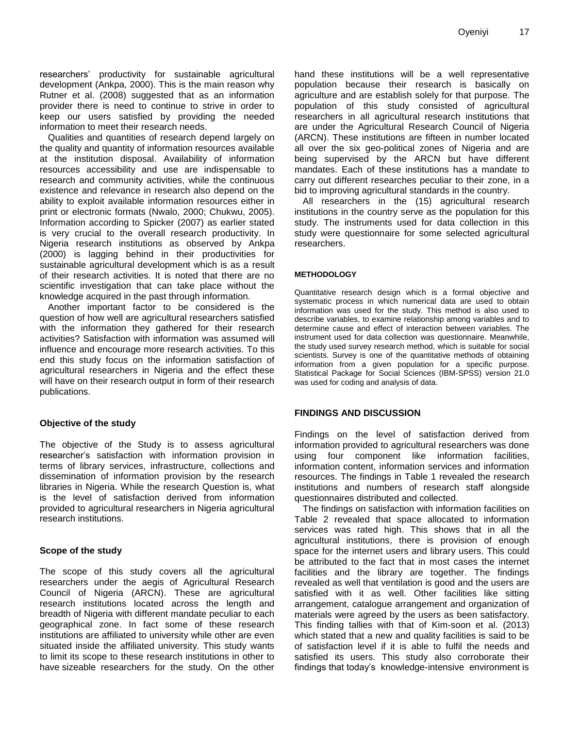researchers' productivity for sustainable agricultural development (Ankpa, 2000). This is the main reason why Rutner et al. (2008) suggested that as an information provider there is need to continue to strive in order to keep our users satisfied by providing the needed information to meet their research needs.

Qualities and quantities of research depend largely on the quality and quantity of information resources available at the institution disposal. Availability of information resources accessibility and use are indispensable to research and community activities, while the continuous existence and relevance in research also depend on the ability to exploit available information resources either in print or electronic formats (Nwalo, 2000; Chukwu, 2005). Information according to Spicker (2007) as earlier stated is very crucial to the overall research productivity. In Nigeria research institutions as observed by Ankpa (2000) is lagging behind in their productivities for sustainable agricultural development which is as a result of their research activities. It is noted that there are no scientific investigation that can take place without the knowledge acquired in the past through information.

Another important factor to be considered is the question of how well are agricultural researchers satisfied with the information they gathered for their research activities? Satisfaction with information was assumed will influence and encourage more research activities. To this end this study focus on the information satisfaction of agricultural researchers in Nigeria and the effect these will have on their research output in form of their research publications.

# **Objective of the study**

The objective of the Study is to assess agricultural researcher's satisfaction with information provision in terms of library services, infrastructure, collections and dissemination of information provision by the research libraries in Nigeria. While the research Question is, what is the level of satisfaction derived from information provided to agricultural researchers in Nigeria agricultural research institutions.

#### **Scope of the study**

The scope of this study covers all the agricultural researchers under the aegis of Agricultural Research Council of Nigeria (ARCN). These are agricultural research institutions located across the length and breadth of Nigeria with different mandate peculiar to each geographical zone. In fact some of these research institutions are affiliated to university while other are even situated inside the affiliated university. This study wants to limit its scope to these research institutions in other to have sizeable researchers for the study. On the other hand these institutions will be a well representative population because their research is basically on agriculture and are establish solely for that purpose. The population of this study consisted of agricultural researchers in all agricultural research institutions that are under the Agricultural Research Council of Nigeria (ARCN). These institutions are fifteen in number located all over the six geo-political zones of Nigeria and are being supervised by the ARCN but have different mandates. Each of these institutions has a mandate to carry out different researches peculiar to their zone, in a bid to improving agricultural standards in the country.

All researchers in the (15) agricultural research institutions in the country serve as the population for this study. The instruments used for data collection in this study were questionnaire for some selected agricultural researchers.

#### **METHODOLOGY**

Quantitative research design which is a formal objective and systematic process in which numerical data are used to obtain information was used for the study. This method is also used to describe variables, to examine relationship among variables and to determine cause and effect of interaction between variables. The instrument used for data collection was questionnaire. Meanwhile, the study used survey research method, which is suitable for social scientists. Survey is one of the quantitative methods of obtaining information from a given population for a specific purpose. Statistical Package for Social Sciences (IBM-SPSS) version 21.0 was used for coding and analysis of data.

# **FINDINGS AND DISCUSSION**

Findings on the level of satisfaction derived from information provided to agricultural researchers was done using four component like information facilities, information content, information services and information resources. The findings in Table 1 revealed the research institutions and numbers of research staff alongside questionnaires distributed and collected.

The findings on satisfaction with information facilities on Table 2 revealed that space allocated to information services was rated high. This shows that in all the agricultural institutions, there is provision of enough space for the internet users and library users. This could be attributed to the fact that in most cases the internet facilities and the library are together. The findings revealed as well that ventilation is good and the users are satisfied with it as well. Other facilities like sitting arrangement, catalogue arrangement and organization of materials were agreed by the users as been satisfactory. This finding tallies with that of Kim-soon et al. (2013) which stated that a new and quality facilities is said to be of satisfaction level if it is able to fulfil the needs and satisfied its users. This study also corroborate their findings that today's knowledge-intensive environment is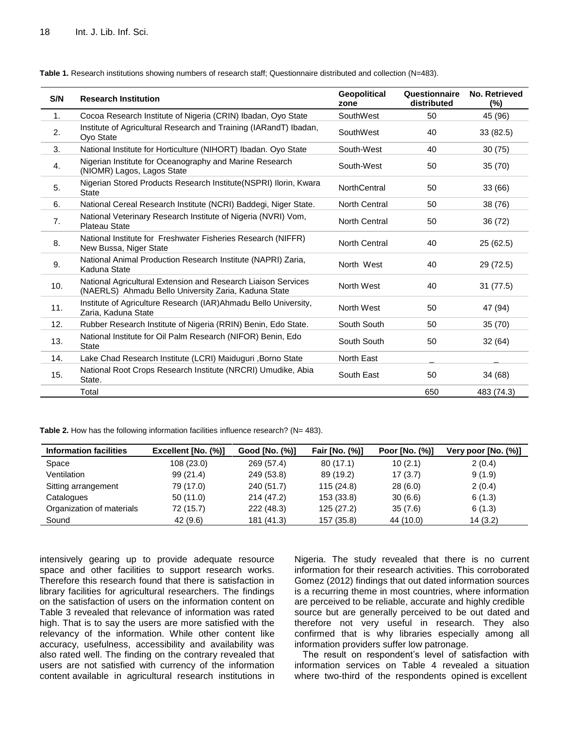| S/N | <b>Research Institution</b>                                                                                           | <b>Geopolitical</b><br>zone | Questionnaire<br>distributed | No. Retrieved<br>(%) |
|-----|-----------------------------------------------------------------------------------------------------------------------|-----------------------------|------------------------------|----------------------|
| 1.  | Cocoa Research Institute of Nigeria (CRIN) Ibadan, Oyo State                                                          | SouthWest                   | 50                           | 45 (96)              |
| 2.  | Institute of Agricultural Research and Training (IARandT) Ibadan,<br>Ovo State                                        | SouthWest                   | 40                           | 33(82.5)             |
| 3.  | National Institute for Horticulture (NIHORT) Ibadan. Oyo State                                                        | South-West                  | 40                           | 30(75)               |
| 4.  | Nigerian Institute for Oceanography and Marine Research<br>(NIOMR) Lagos, Lagos State                                 | South-West                  | 50                           | 35(70)               |
| 5.  | Nigerian Stored Products Research Institute(NSPRI) Ilorin, Kwara<br><b>State</b>                                      | <b>NorthCentral</b>         | 50                           | 33 (66)              |
| 6.  | National Cereal Research Institute (NCRI) Baddegi, Niger State.                                                       | North Central               | 50                           | 38 (76)              |
| 7.  | National Veterinary Research Institute of Nigeria (NVRI) Vom,<br><b>Plateau State</b>                                 | <b>North Central</b>        | 50                           | 36 (72)              |
| 8.  | National Institute for Freshwater Fisheries Research (NIFFR)<br>New Bussa, Niger State                                | North Central               | 40                           | 25 (62.5)            |
| 9.  | National Animal Production Research Institute (NAPRI) Zaria,<br>Kaduna State                                          | North West                  | 40                           | 29 (72.5)            |
| 10. | National Agricultural Extension and Research Liaison Services<br>(NAERLS) Ahmadu Bello University Zaria, Kaduna State | North West                  | 40                           | 31 (77.5)            |
| 11. | Institute of Agriculture Research (IAR) Ahmadu Bello University,<br>Zaria, Kaduna State                               | North West                  | 50                           | 47 (94)              |
| 12. | Rubber Research Institute of Nigeria (RRIN) Benin, Edo State.                                                         | South South                 | 50                           | 35(70)               |
| 13. | National Institute for Oil Palm Research (NIFOR) Benin, Edo<br><b>State</b>                                           | South South                 | 50                           | 32(64)               |
| 14. | Lake Chad Research Institute (LCRI) Maiduguri, Borno State                                                            | <b>North East</b>           |                              |                      |
| 15. | National Root Crops Research Institute (NRCRI) Umudike, Abia<br>State.                                                | South East                  | 50                           | 34 (68)              |
|     | Total                                                                                                                 |                             | 650                          | 483 (74.3)           |

**Table 1.** Research institutions showing numbers of research staff; Questionnaire distributed and collection (N=483).

**Table 2.** How has the following information facilities influence research? (N= 483).

| <b>Information facilities</b> | Excellent [No. (%)] | Good [No. (%)] | Fair [No. (%)] | Poor [No. (%)] | Very poor [No. (%)] |
|-------------------------------|---------------------|----------------|----------------|----------------|---------------------|
| Space                         | 108(23.0)           | 269 (57.4)     | 80(17.1)       | 10(2.1)        | 2(0.4)              |
| Ventilation                   | 99(21.4)            | 249 (53.8)     | 89 (19.2)      | 17(3.7)        | 9(1.9)              |
| Sitting arrangement           | 79 (17.0)           | 240 (51.7)     | 115 (24.8)     | 28(6.0)        | 2(0.4)              |
| Catalogues                    | 50(11.0)            | 214 (47.2)     | 153 (33.8)     | 30(6.6)        | 6(1.3)              |
| Organization of materials     | 72 (15.7)           | 222 (48.3)     | 125(27.2)      | 35(7.6)        | 6(1.3)              |
| Sound                         | 42 (9.6)            | 181 (41.3)     | 157 (35.8)     | 44 (10.0)      | 14(3.2)             |

intensively gearing up to provide adequate resource space and other facilities to support research works. Therefore this research found that there is satisfaction in library facilities for agricultural researchers. The findings on the satisfaction of users on the information content on Table 3 revealed that relevance of information was rated high. That is to say the users are more satisfied with the relevancy of the information. While other content like accuracy, usefulness, accessibility and availability was also rated well. The finding on the contrary revealed that users are not satisfied with currency of the information content available in agricultural research institutions in

Nigeria. The study revealed that there is no current information for their research activities. This corroborated Gomez (2012) findings that out dated information sources is a recurring theme in most countries, where information are perceived to be reliable, accurate and highly credible source but are generally perceived to be out dated and therefore not very useful in research. They also confirmed that is why libraries especially among all information providers suffer low patronage.

The result on respondent's level of satisfaction with information services on Table 4 revealed a situation where two-third of the respondents opined is excellent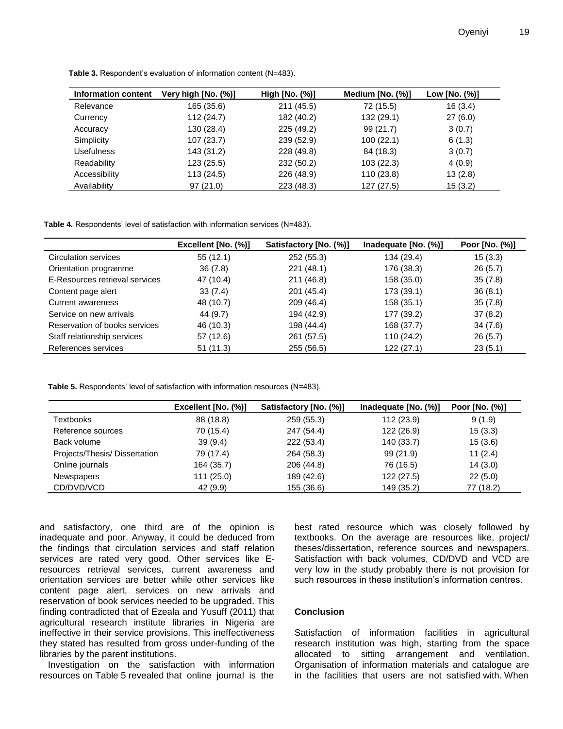| Information content | Very high [No. (%)] | High [No. (%)] | Medium [No. (%)] | Low [No. (%)] |
|---------------------|---------------------|----------------|------------------|---------------|
| Relevance           | 165 (35.6)          | 211 (45.5)     | 72 (15.5)        | 16(3.4)       |
| Currency            | 112(24.7)           | 182 (40.2)     | 132 (29.1)       | 27(6.0)       |
| Accuracy            | 130 (28.4)          | 225 (49.2)     | 99(21.7)         | 3(0.7)        |
| Simplicity          | 107 (23.7)          | 239 (52.9)     | 100(22.1)        | 6(1.3)        |
| Usefulness          | 143 (31.2)          | 228 (49.8)     | 84 (18.3)        | 3(0.7)        |
| Readability         | 123 (25.5)          | 232 (50.2)     | 103(22.3)        | 4(0.9)        |
| Accessibility       | 113 (24.5)          | 226 (48.9)     | 110 (23.8)       | 13(2.8)       |
| Availability        | 97(21.0)            | 223 (48.3)     | 127(27.5)        | 15(3.2)       |

**Table 3.** Respondent's evaluation of information content (N=483).

**Table 4.** Respondents' level of satisfaction with information services (N=483).

|                                | Excellent [No. (%)] | Satisfactory [No. (%)] | Inadequate $[No. (%)]$ | Poor [No. (%)] |
|--------------------------------|---------------------|------------------------|------------------------|----------------|
| Circulation services           | 55(12.1)            | 252 (55.3)             | 134 (29.4)             | 15(3.3)        |
| Orientation programme          | 36(7.8)             | 221 (48.1)             | 176 (38.3)             | 26(5.7)        |
| E-Resources retrieval services | 47 (10.4)           | 211 (46.8)             | 158 (35.0)             | 35(7.8)        |
| Content page alert             | 33(7.4)             | 201 (45.4)             | 173 (39.1)             | 36(8.1)        |
| Current awareness              | 48 (10.7)           | 209 (46.4)             | 158 (35.1)             | 35(7.8)        |
| Service on new arrivals        | 44 (9.7)            | 194 (42.9)             | 177 (39.2)             | 37(8.2)        |
| Reservation of books services  | 46 (10.3)           | 198 (44.4)             | 168 (37.7)             | 34(7.6)        |
| Staff relationship services    | 57 (12.6)           | 261 (57.5)             | 110 (24.2)             | 26(5.7)        |
| References services            | 51(11.3)            | 255 (56.5)             | 122(27.1)              | 23(5.1)        |

**Table 5.** Respondents' level of satisfaction with information resources (N=483).

|                              | Excellent [No. (%)] | Satisfactory [No. (%)] | Inadequate $[No. (%)]$ | Poor [No. (%)] |
|------------------------------|---------------------|------------------------|------------------------|----------------|
| <b>Textbooks</b>             | 88 (18.8)           | 259 (55.3)             | 112 (23.9)             | 9(1.9)         |
| Reference sources            | 70 (15.4)           | 247 (54.4)             | 122 (26.9)             | 15(3.3)        |
| Back volume                  | 39(9.4)             | 222 (53.4)             | 140 (33.7)             | 15(3.6)        |
| Projects/Thesis/Dissertation | 79 (17.4)           | 264 (58.3)             | 99(21.9)               | 11(2.4)        |
| Online journals              | 164 (35.7)          | 206 (44.8)             | 76 (16.5)              | 14(3.0)        |
| <b>Newspapers</b>            | 111(25.0)           | 189 (42.6)             | 122 (27.5)             | 22(5.0)        |
| CD/DVD/VCD                   | 42(9.9)             | 155 (36.6)             | 149 (35.2)             | 77 (18.2)      |

and satisfactory, one third are of the opinion is inadequate and poor. Anyway, it could be deduced from the findings that circulation services and staff relation services are rated very good. Other services like Eresources retrieval services, current awareness and orientation services are better while other services like content page alert, services on new arrivals and reservation of book services needed to be upgraded. This finding contradicted that of Ezeala and Yusuff (2011) that agricultural research institute libraries in Nigeria are ineffective in their service provisions. This ineffectiveness they stated has resulted from gross under-funding of the libraries by the parent institutions.

Investigation on the satisfaction with information resources on Table 5 revealed that online journal is the

best rated resource which was closely followed by textbooks. On the average are resources like, project/ theses/dissertation, reference sources and newspapers. Satisfaction with back volumes, CD/DVD and VCD are very low in the study probably there is not provision for such resources in these institution's information centres.

#### **Conclusion**

Satisfaction of information facilities in agricultural research institution was high, starting from the space allocated to sitting arrangement and ventilation. Organisation of information materials and catalogue are in the facilities that users are not satisfied with. When